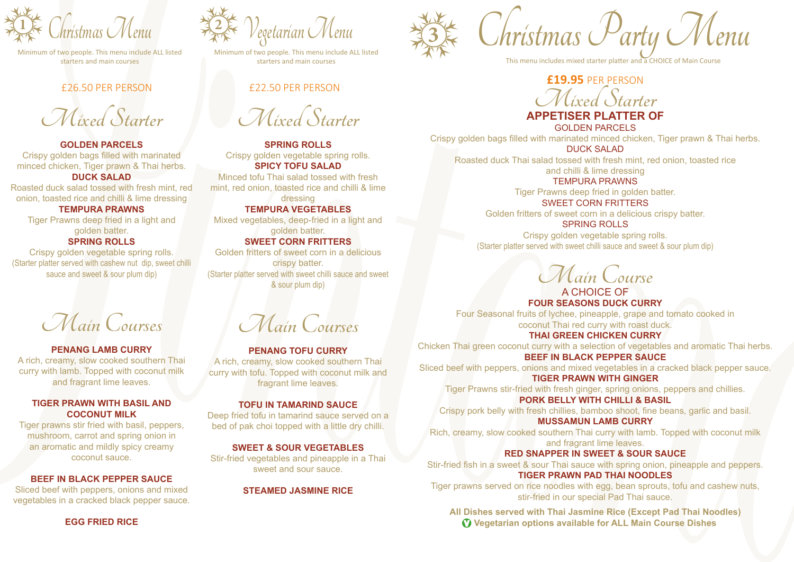

starters and main courses

#### £26.50 PER PERSON

**Mixed Starter**

**GOLDEN PARCELS** Crispy golden bags filled with marinated minced chicken, Tiger prawn & Thai herbs. **DUCK SALAD**

Roasted duck salad tossed with fresh mint, red onion, toasted rice and chilli & lime dressing

**TEMPURA PRAWNS** Tiger Prawns deep fried in a light and golden batter.

#### **SPRING ROLLS**

Crispy golden vegetable spring rolls. (Starter platter served with cashew nut dip, sweet chilli sauce and sweet & sour plum dip)

**Main Courses**

#### **PENANG LAMB CURRY**

A rich, creamy, slow cooked southern Thai curry with lamb. Topped with coconut milk and fragrant lime leaves.

#### **TIGER PRAWN WITH BASIL AND COCONUT MILK**

Tiger prawns stir fried with basil, peppers, mushroom, carrot and spring onion in an aromatic and mildly spicy creamy coconut sauce.

#### **BEEF IN BLACK PEPPER SAUCE**

Sliced beef with peppers, onions and mixed vegetables in a cracked black pepper sauce. **Vegetarian Menu 3 <sup>2</sup>**

Minimum of two people. This menu include ALL listed

### £22.50 PER PERSON

**Mixed Starter**

**SPRING ROLLS** Crispy golden vegetable spring rolls. **SPICY TOFU SALAD**

Minced tofu Thai salad tossed with fresh mint, red onion, toasted rice and chilli & lime dressing

**TEMPURA VEGETABLES** Mixed vegetables, deep-fried in a light and golden batter. **SWEET CORN FRITTERS**

Golden fritters of sweet corn in a delicious crispy batter. (Starter platter served with sweet chilli sauce and sweet & sour plum dip)

**Main Courses**

#### **PENANG TOFU CURRY**

A rich, creamy, slow cooked southern Thai curry with tofu. Topped with coconut milk and fragrant lime leaves.

#### **TOFU IN TAMARIND SAUCE**

Deep fried tofu in tamarind sauce served on a bed of pak choi topped with a little dry chilli.

#### **SWEET & SOUR VEGETABLES**

Stir-fried vegetables and pineapple in a Thai sweet and sour sauce.

#### **STEAMED JASMINE RICE**

Examplement Christmas Menu **Christmas Menu**<br>Minimum of two people. This menu include ALL listed Minimum of two people. This menu include ALL listed **Christmas Christmas Menu includes mixed starter platter and a CHOICE of M** 

This menu includes mixed starter platter and a CHOICE of Main Course

# **Mixed Starter £19.95** PER PERSON

## **APPETISER PLATTER OF**

GOLDEN PARCELS

Crispy golden bags filled with marinated minced chicken, Tiger prawn & Thai herbs. DUCK SALAD

Roasted duck Thai salad tossed with fresh mint, red onion, toasted rice and chilli & lime dressing

TEMPURA PRAWNS

Tiger Prawns deep fried in golden batter.

SWEET CORN FRITTERS

Golden fritters of sweet corn in a delicious crispy batter. SPRING ROLLS

Crispy golden vegetable spring rolls. (Starter platter served with sweet chilli sauce and sweet & sour plum dip)

**Main Course**

## A CHOICE OF **FOUR SEASONS DUCK CURRY** Four Seasonal fruits of lychee, pineapple, grape and tomato cooked in

coconut Thai red curry with roast duck. **THAI GREEN CHICKEN CURRY**

Chicken Thai green coconut curry with a selection of vegetables and aromatic Thai herbs. **BEEF IN BLACK PEPPER SAUCE**

Sliced beef with peppers, onions and mixed vegetables in a cracked black pepper sauce.

**TIGER PRAWN WITH GINGER** Tiger Prawns stir-fried with fresh ginger, spring onions, peppers and chillies.

**PORK BELLY WITH CHILLI & BASIL** Crispy pork belly with fresh chillies, bamboo shoot, fine beans, garlic and basil. **MUSSAMUN LAMB CURRY**

Rich, creamy, slow cooked southern Thai curry with lamb. Topped with coconut milk and fragrant lime leaves.

#### **RED SNAPPER IN SWEET & SOUR SAUCE**

Stir-fried fish in a sweet & sour Thai sauce with spring onion, pineapple and peppers. **TIGER PRAWN PAD THAI NOODLES**

Tiger prawns served on rice noodles with egg, bean sprouts, tofu and cashew nuts, stir-fried in our special Pad Thai sauce.

**All Dishes served with Thai Jasmine Rice (Except Pad Thai Noodles) V Vegetarian options available for ALL Main Course Dishes**

**EGG FRIED RICE**